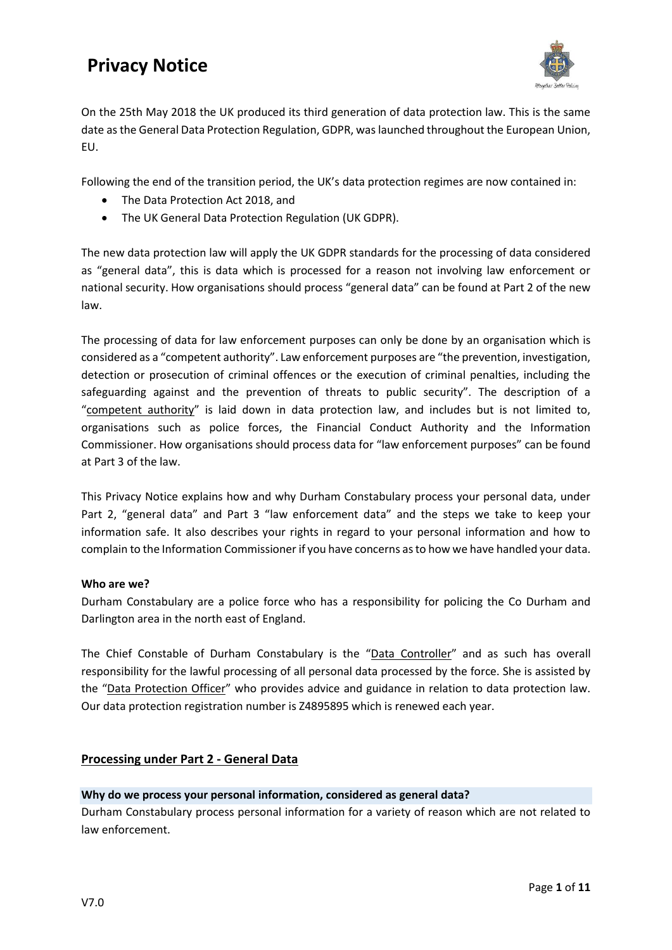

On the 25th May 2018 the UK produced its third generation of data protection law. This is the same date as the General Data Protection Regulation, GDPR, was launched throughout the European Union, EU.

Following the end of the transition period, the UK's data protection regimes are now contained in:

- The Data Protection Act 2018, and
- The UK General Data Protection Regulation (UK GDPR).

The new data protection law will apply the UK GDPR standards for the processing of data considered as "general data", this is data which is processed for a reason not involving law enforcement or national security. How organisations should process "general data" can be found at Part 2 of the new law.

The processing of data for law enforcement purposes can only be done by an organisation which is considered as a "competent authority". Law enforcement purposes are "the prevention, investigation, detection or prosecution of criminal offences or the execution of criminal penalties, including the safeguarding against and the prevention of threats to public security". The description of a "competent authority" is laid down in data protection law, and includes but is not limited to, organisations such as police forces, the Financial Conduct Authority and the Information Commissioner. How organisations should process data for "law enforcement purposes" can be found at Part 3 of the law.

This Privacy Notice explains how and why Durham Constabulary process your personal data, under Part 2, "general data" and Part 3 "law enforcement data" and the steps we take to keep your information safe. It also describes your rights in regard to your personal information and how to complain to the Information Commissioner if you have concerns as to how we have handled your data.

## **Who are we?**

Durham Constabulary are a police force who has a responsibility for policing the Co Durham and Darlington area in the north east of England.

The Chief Constable of Durham Constabulary is the "Data Controller" and as such has overall responsibility for the lawful processing of all personal data processed by the force. She is assisted by the "Data Protection Officer" who provides advice and guidance in relation to data protection law. Our data protection registration number is Z4895895 which is renewed each year.

## **Processing under Part 2 - General Data**

## **Why do we process your personal information, considered as general data?**

Durham Constabulary process personal information for a variety of reason which are not related to law enforcement.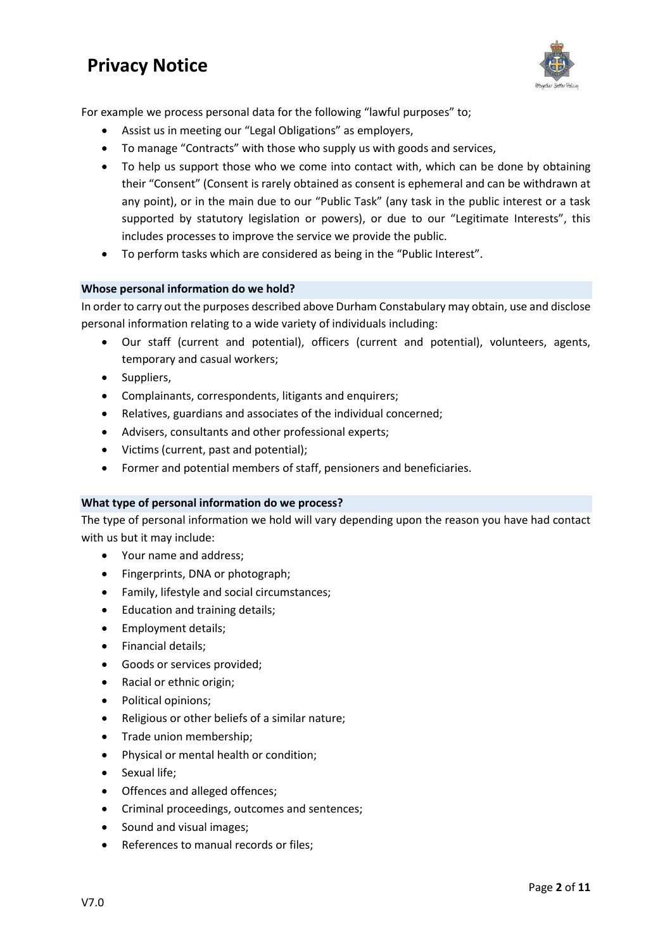

For example we process personal data for the following "lawful purposes" to;

- Assist us in meeting our "Legal Obligations" as employers,
- To manage "Contracts" with those who supply us with goods and services,
- To help us support those who we come into contact with, which can be done by obtaining their "Consent" (Consent is rarely obtained as consent is ephemeral and can be withdrawn at any point), or in the main due to our "Public Task" (any task in the public interest or a task supported by statutory legislation or powers), or due to our "Legitimate Interests", this includes processes to improve the service we provide the public.
- To perform tasks which are considered as being in the "Public Interest".

## **Whose personal information do we hold?**

In order to carry out the purposes described above Durham Constabulary may obtain, use and disclose personal information relating to a wide variety of individuals including:

- Our staff (current and potential), officers (current and potential), volunteers, agents, temporary and casual workers;
- Suppliers,
- Complainants, correspondents, litigants and enquirers;
- Relatives, guardians and associates of the individual concerned;
- Advisers, consultants and other professional experts;
- Victims (current, past and potential);
- Former and potential members of staff, pensioners and beneficiaries.

## **What type of personal information do we process?**

The type of personal information we hold will vary depending upon the reason you have had contact with us but it may include:

- Your name and address;
- Fingerprints, DNA or photograph;
- Family, lifestyle and social circumstances;
- Education and training details;
- Employment details;
- Financial details;
- Goods or services provided;
- Racial or ethnic origin;
- Political opinions;
- Religious or other beliefs of a similar nature;
- Trade union membership;
- Physical or mental health or condition;
- Sexual life:
- Offences and alleged offences;
- Criminal proceedings, outcomes and sentences;
- Sound and visual images;
- References to manual records or files;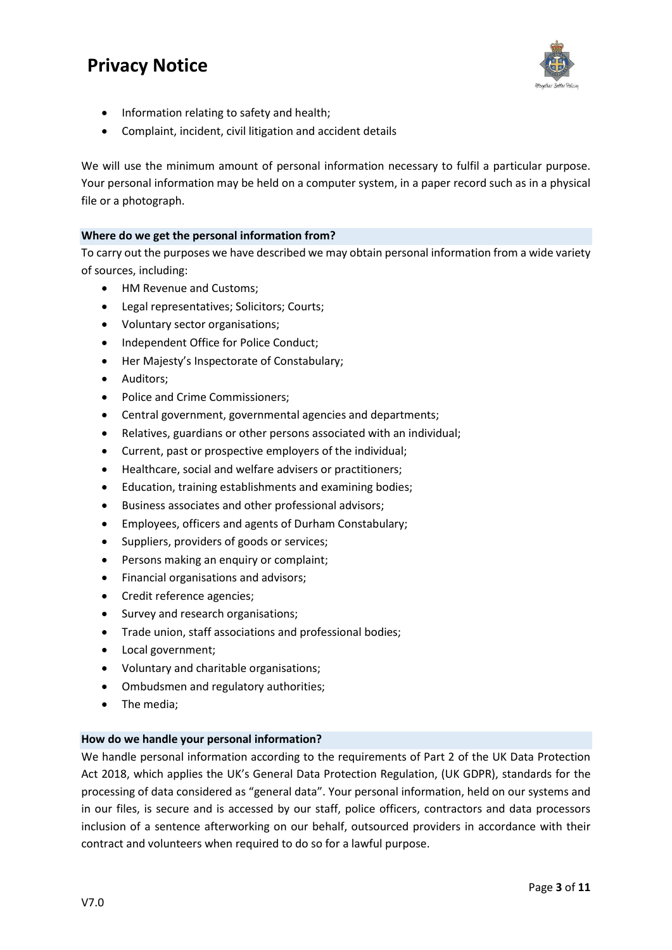

- Information relating to safety and health;
- Complaint, incident, civil litigation and accident details

We will use the minimum amount of personal information necessary to fulfil a particular purpose. Your personal information may be held on a computer system, in a paper record such as in a physical file or a photograph.

## **Where do we get the personal information from?**

To carry out the purposes we have described we may obtain personal information from a wide variety of sources, including:

- HM Revenue and Customs;
- Legal representatives; Solicitors; Courts;
- Voluntary sector organisations;
- Independent Office for Police Conduct;
- Her Majesty's Inspectorate of Constabulary;
- Auditors;
- Police and Crime Commissioners;
- Central government, governmental agencies and departments;
- Relatives, guardians or other persons associated with an individual;
- Current, past or prospective employers of the individual;
- Healthcare, social and welfare advisers or practitioners;
- Education, training establishments and examining bodies;
- Business associates and other professional advisors;
- Employees, officers and agents of Durham Constabulary;
- Suppliers, providers of goods or services;
- Persons making an enquiry or complaint;
- Financial organisations and advisors;
- Credit reference agencies;
- Survey and research organisations;
- Trade union, staff associations and professional bodies;
- Local government;
- Voluntary and charitable organisations;
- Ombudsmen and regulatory authorities;
- The media;

## **How do we handle your personal information?**

We handle personal information according to the requirements of Part 2 of the UK Data Protection Act 2018, which applies the UK's General Data Protection Regulation, (UK GDPR), standards for the processing of data considered as "general data". Your personal information, held on our systems and in our files, is secure and is accessed by our staff, police officers, contractors and data processors inclusion of a sentence afterworking on our behalf, outsourced providers in accordance with their contract and volunteers when required to do so for a lawful purpose.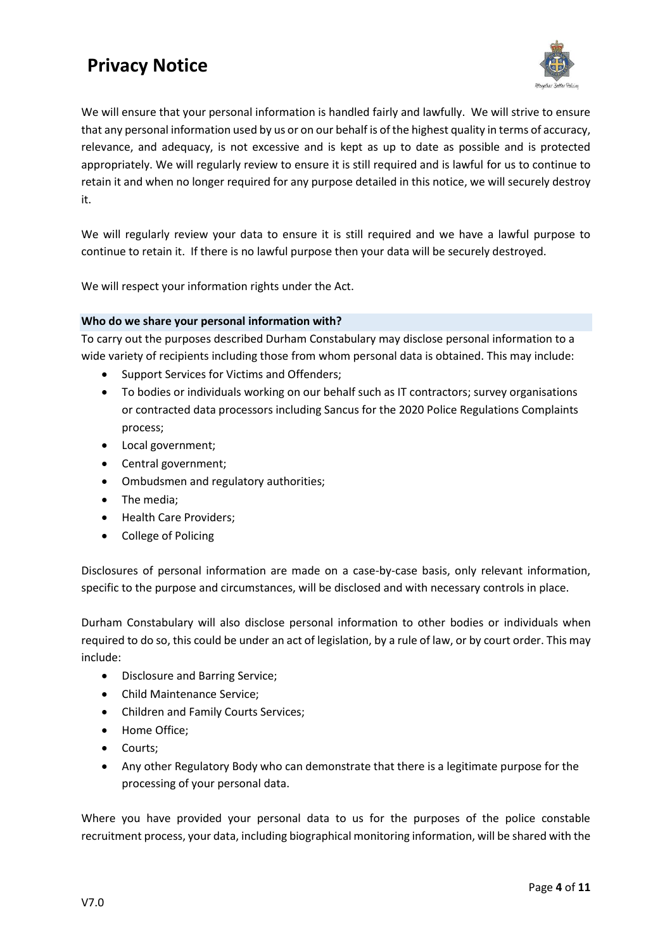

We will ensure that your personal information is handled fairly and lawfully. We will strive to ensure that any personal information used by us or on our behalf is of the highest quality in terms of accuracy, relevance, and adequacy, is not excessive and is kept as up to date as possible and is protected appropriately. We will regularly review to ensure it is still required and is lawful for us to continue to retain it and when no longer required for any purpose detailed in this notice, we will securely destroy it.

We will regularly review your data to ensure it is still required and we have a lawful purpose to continue to retain it. If there is no lawful purpose then your data will be securely destroyed.

We will respect your information rights under the Act.

## **Who do we share your personal information with?**

To carry out the purposes described Durham Constabulary may disclose personal information to a wide variety of recipients including those from whom personal data is obtained. This may include:

- Support Services for Victims and Offenders;
- To bodies or individuals working on our behalf such as IT contractors; survey organisations or contracted data processors including Sancus for the 2020 Police Regulations Complaints process;
- Local government;
- Central government;
- Ombudsmen and regulatory authorities;
- The media;
- Health Care Providers;
- College of Policing

Disclosures of personal information are made on a case-by-case basis, only relevant information, specific to the purpose and circumstances, will be disclosed and with necessary controls in place.

Durham Constabulary will also disclose personal information to other bodies or individuals when required to do so, this could be under an act of legislation, by a rule of law, or by court order. This may include:

- Disclosure and Barring Service;
- Child Maintenance Service;
- Children and Family Courts Services;
- Home Office;
- Courts;
- Any other Regulatory Body who can demonstrate that there is a legitimate purpose for the processing of your personal data.

Where you have provided your personal data to us for the purposes of the police constable recruitment process, your data, including biographical monitoring information, will be shared with the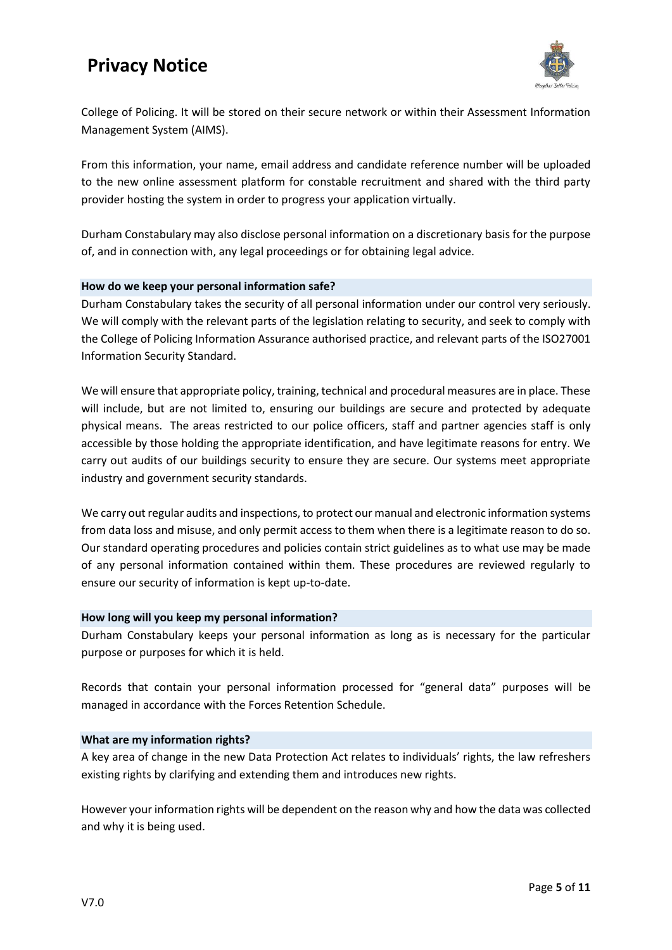

College of Policing. It will be stored on their secure network or within their Assessment Information Management System (AIMS).

From this information, your name, email address and candidate reference number will be uploaded to the new online assessment platform for constable recruitment and shared with the third party provider hosting the system in order to progress your application virtually.

Durham Constabulary may also disclose personal information on a discretionary basis for the purpose of, and in connection with, any legal proceedings or for obtaining legal advice.

## **How do we keep your personal information safe?**

Durham Constabulary takes the security of all personal information under our control very seriously. We will comply with the relevant parts of the legislation relating to security, and seek to comply with the College of Policing Information Assurance authorised practice, and relevant parts of the ISO27001 Information Security Standard.

We will ensure that appropriate policy, training, technical and procedural measures are in place. These will include, but are not limited to, ensuring our buildings are secure and protected by adequate physical means. The areas restricted to our police officers, staff and partner agencies staff is only accessible by those holding the appropriate identification, and have legitimate reasons for entry. We carry out audits of our buildings security to ensure they are secure. Our systems meet appropriate industry and government security standards.

We carry out regular audits and inspections, to protect our manual and electronic information systems from data loss and misuse, and only permit access to them when there is a legitimate reason to do so. Our standard operating procedures and policies contain strict guidelines as to what use may be made of any personal information contained within them. These procedures are reviewed regularly to ensure our security of information is kept up-to-date.

## **How long will you keep my personal information?**

Durham Constabulary keeps your personal information as long as is necessary for the particular purpose or purposes for which it is held.

Records that contain your personal information processed for "general data" purposes will be managed in accordance with the Forces Retention Schedule.

## **What are my information rights?**

A key area of change in the new Data Protection Act relates to individuals' rights, the law refreshers existing rights by clarifying and extending them and introduces new rights.

However your information rights will be dependent on the reason why and how the data was collected and why it is being used.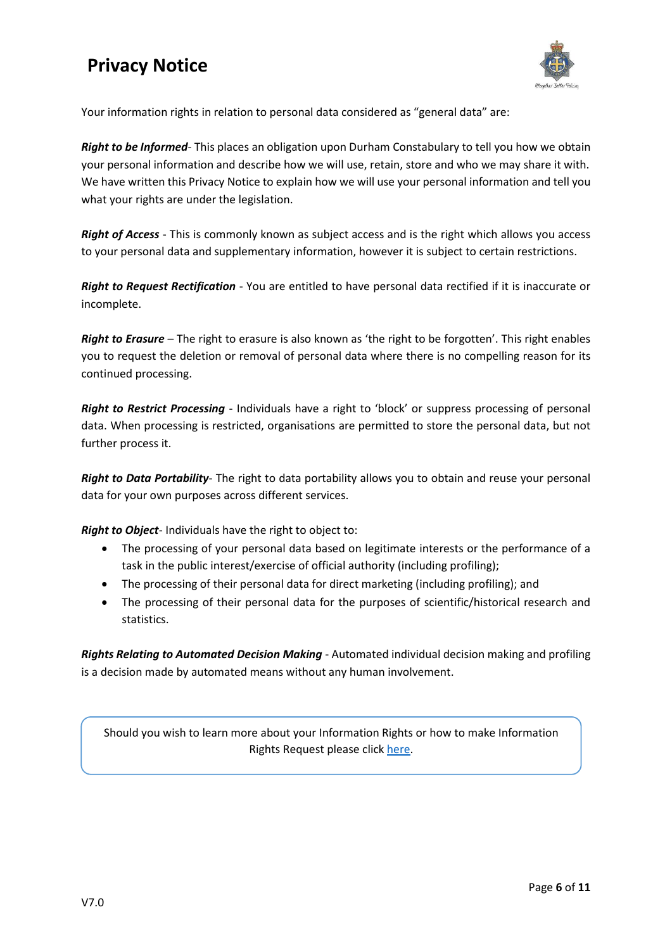

Your information rights in relation to personal data considered as "general data" are:

*Right to be Informed*- This places an obligation upon Durham Constabulary to tell you how we obtain your personal information and describe how we will use, retain, store and who we may share it with. We have written this Privacy Notice to explain how we will use your personal information and tell you what your rights are under the legislation.

*Right of Access* - This is commonly known as subject access and is the right which allows you access to your personal data and supplementary information, however it is subject to certain restrictions.

*Right to Request Rectification* - You are entitled to have personal data rectified if it is inaccurate or incomplete.

*Right to Erasure* – The right to erasure is also known as 'the right to be forgotten'. This right enables you to request the deletion or removal of personal data where there is no compelling reason for its continued processing.

*Right to Restrict Processing* - Individuals have a right to 'block' or suppress processing of personal data. When processing is restricted, organisations are permitted to store the personal data, but not further process it.

*Right to Data Portability*- The right to data portability allows you to obtain and reuse your personal data for your own purposes across different services.

*Right to Object*- Individuals have the right to object to:

- The processing of your personal data based on legitimate interests or the performance of a task in the public interest/exercise of official authority (including profiling);
- The processing of their personal data for direct marketing (including profiling); and
- The processing of their personal data for the purposes of scientific/historical research and statistics.

*Rights Relating to Automated Decision Making* - Automated individual decision making and profiling is a decision made by automated means without any human involvement.

Should you wish to learn more about your Information Rights or how to make Information Rights Request please click [here.](https://www.durham.police.uk/Information-Rights/Requests-for-Personal-Information.aspx)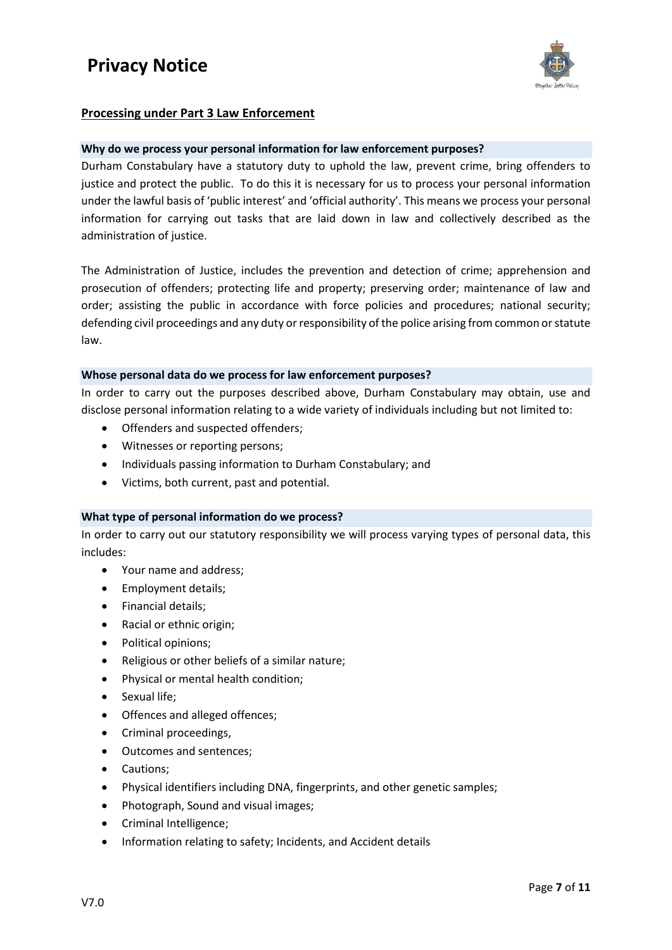

## **Processing under Part 3 Law Enforcement**

## **Why do we process your personal information for law enforcement purposes?**

Durham Constabulary have a statutory duty to uphold the law, prevent crime, bring offenders to justice and protect the public. To do this it is necessary for us to process your personal information under the lawful basis of 'public interest' and 'official authority'. This means we process your personal information for carrying out tasks that are laid down in law and collectively described as the administration of justice.

The Administration of Justice, includes the prevention and detection of crime; apprehension and prosecution of offenders; protecting life and property; preserving order; maintenance of law and order; assisting the public in accordance with force policies and procedures; national security; defending civil proceedings and any duty or responsibility of the police arising from common or statute law.

#### **Whose personal data do we process for law enforcement purposes?**

In order to carry out the purposes described above, Durham Constabulary may obtain, use and disclose personal information relating to a wide variety of individuals including but not limited to:

- Offenders and suspected offenders;
- Witnesses or reporting persons;
- Individuals passing information to Durham Constabulary; and
- Victims, both current, past and potential.

## **What type of personal information do we process?**

In order to carry out our statutory responsibility we will process varying types of personal data, this includes:

- Your name and address;
- Employment details;
- Financial details;
- Racial or ethnic origin;
- Political opinions;
- Religious or other beliefs of a similar nature;
- Physical or mental health condition;
- Sexual life:
- Offences and alleged offences;
- Criminal proceedings,
- Outcomes and sentences;
- Cautions;
- Physical identifiers including DNA, fingerprints, and other genetic samples;
- Photograph, Sound and visual images;
- Criminal Intelligence;
- Information relating to safety; Incidents, and Accident details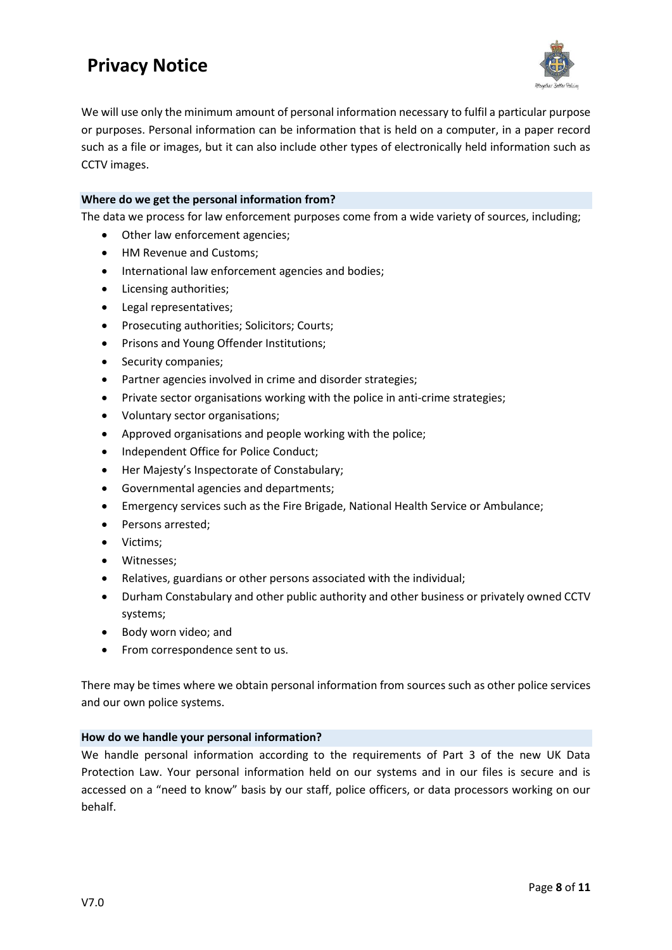

We will use only the minimum amount of personal information necessary to fulfil a particular purpose or purposes. Personal information can be information that is held on a computer, in a paper record such as a file or images, but it can also include other types of electronically held information such as CCTV images.

## **Where do we get the personal information from?**

The data we process for law enforcement purposes come from a wide variety of sources, including;

- Other law enforcement agencies;
- HM Revenue and Customs;
- International law enforcement agencies and bodies;
- Licensing authorities;
- Legal representatives;
- Prosecuting authorities; Solicitors; Courts;
- Prisons and Young Offender Institutions;
- Security companies;
- Partner agencies involved in crime and disorder strategies;
- Private sector organisations working with the police in anti-crime strategies;
- Voluntary sector organisations;
- Approved organisations and people working with the police;
- Independent Office for Police Conduct;
- Her Majesty's Inspectorate of Constabulary;
- Governmental agencies and departments;
- Emergency services such as the Fire Brigade, National Health Service or Ambulance;
- Persons arrested;
- Victims;
- Witnesses;
- Relatives, guardians or other persons associated with the individual;
- Durham Constabulary and other public authority and other business or privately owned CCTV systems;
- Body worn video; and
- From correspondence sent to us.

There may be times where we obtain personal information from sources such as other police services and our own police systems.

## **How do we handle your personal information?**

We handle personal information according to the requirements of Part 3 of the new UK Data Protection Law. Your personal information held on our systems and in our files is secure and is accessed on a "need to know" basis by our staff, police officers, or data processors working on our behalf.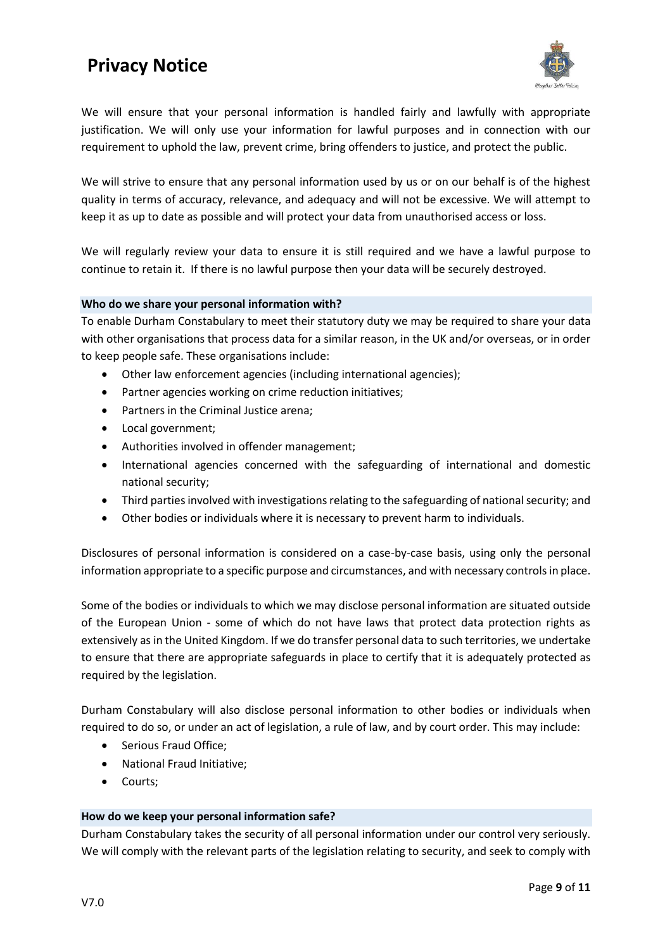

We will ensure that your personal information is handled fairly and lawfully with appropriate justification. We will only use your information for lawful purposes and in connection with our requirement to uphold the law, prevent crime, bring offenders to justice, and protect the public.

We will strive to ensure that any personal information used by us or on our behalf is of the highest quality in terms of accuracy, relevance, and adequacy and will not be excessive. We will attempt to keep it as up to date as possible and will protect your data from unauthorised access or loss.

We will regularly review your data to ensure it is still required and we have a lawful purpose to continue to retain it. If there is no lawful purpose then your data will be securely destroyed.

## **Who do we share your personal information with?**

To enable Durham Constabulary to meet their statutory duty we may be required to share your data with other organisations that process data for a similar reason, in the UK and/or overseas, or in order to keep people safe. These organisations include:

- Other law enforcement agencies (including international agencies);
- Partner agencies working on crime reduction initiatives;
- Partners in the Criminal Justice arena;
- Local government;
- Authorities involved in offender management;
- International agencies concerned with the safeguarding of international and domestic national security;
- Third parties involved with investigations relating to the safeguarding of national security; and
- Other bodies or individuals where it is necessary to prevent harm to individuals.

Disclosures of personal information is considered on a case-by-case basis, using only the personal information appropriate to a specific purpose and circumstances, and with necessary controls in place.

Some of the bodies or individuals to which we may disclose personal information are situated outside of the European Union - some of which do not have laws that protect data protection rights as extensively as in the United Kingdom. If we do transfer personal data to such territories, we undertake to ensure that there are appropriate safeguards in place to certify that it is adequately protected as required by the legislation.

Durham Constabulary will also disclose personal information to other bodies or individuals when required to do so, or under an act of legislation, a rule of law, and by court order. This may include:

- Serious Fraud Office;
- National Fraud Initiative;
- Courts;

#### **How do we keep your personal information safe?**

Durham Constabulary takes the security of all personal information under our control very seriously. We will comply with the relevant parts of the legislation relating to security, and seek to comply with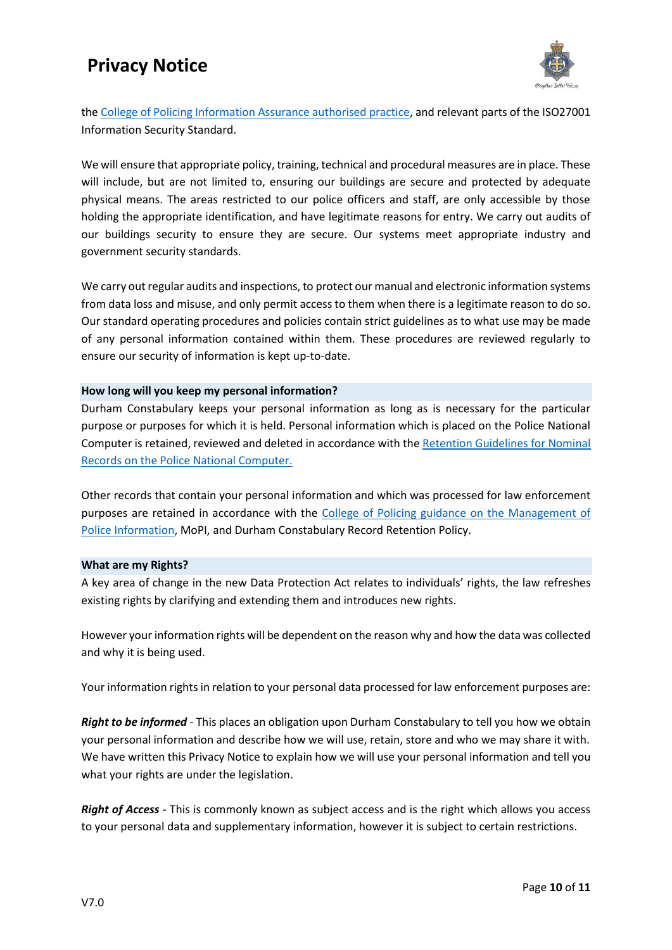

th[e College of Policing Information Assurance authorised practice,](https://www.app.college.police.uk/app-content/information-management/information-assurance/) and relevant parts of the ISO27001 Information Security Standard.

We will ensure that appropriate policy, training, technical and procedural measures are in place. These will include, but are not limited to, ensuring our buildings are secure and protected by adequate physical means. The areas restricted to our police officers and staff, are only accessible by those holding the appropriate identification, and have legitimate reasons for entry. We carry out audits of our buildings security to ensure they are secure. Our systems meet appropriate industry and government security standards.

We carry out regular audits and inspections, to protect our manual and electronic information systems from data loss and misuse, and only permit access to them when there is a legitimate reason to do so. Our standard operating procedures and policies contain strict guidelines as to what use may be made of any personal information contained within them. These procedures are reviewed regularly to ensure our security of information is kept up-to-date.

## **How long will you keep my personal information?**

Durham Constabulary keeps your personal information as long as is necessary for the particular purpose or purposes for which it is held. Personal information which is placed on the Police National Computer is retained, reviewed and deleted in accordance with th[e Retention Guidelines for Nominal](https://www.acro.police.uk/Services/Record-deletion)  [Records on the Police National Computer.](https://www.acro.police.uk/Services/Record-deletion)

Other records that contain your personal information and which was processed for law enforcement purposes are retained in accordance with the [College of Policing guidance on the Management of](https://www.app.college.police.uk/app-content/information-management/management-of-police-information/retention-review-and-disposal-of-police-information/)  [Police Information,](https://www.app.college.police.uk/app-content/information-management/management-of-police-information/retention-review-and-disposal-of-police-information/) MoPI, and Durham Constabulary Record Retention Policy.

## **What are my Rights?**

A key area of change in the new Data Protection Act relates to individuals' rights, the law refreshes existing rights by clarifying and extending them and introduces new rights.

However your information rights will be dependent on the reason why and how the data was collected and why it is being used.

Your information rights in relation to your personal data processed for law enforcement purposes are:

*Right to be informed* - This places an obligation upon Durham Constabulary to tell you how we obtain your personal information and describe how we will use, retain, store and who we may share it with. We have written this Privacy Notice to explain how we will use your personal information and tell you what your rights are under the legislation.

*Right of Access* - This is commonly known as subject access and is the right which allows you access to your personal data and supplementary information, however it is subject to certain restrictions.